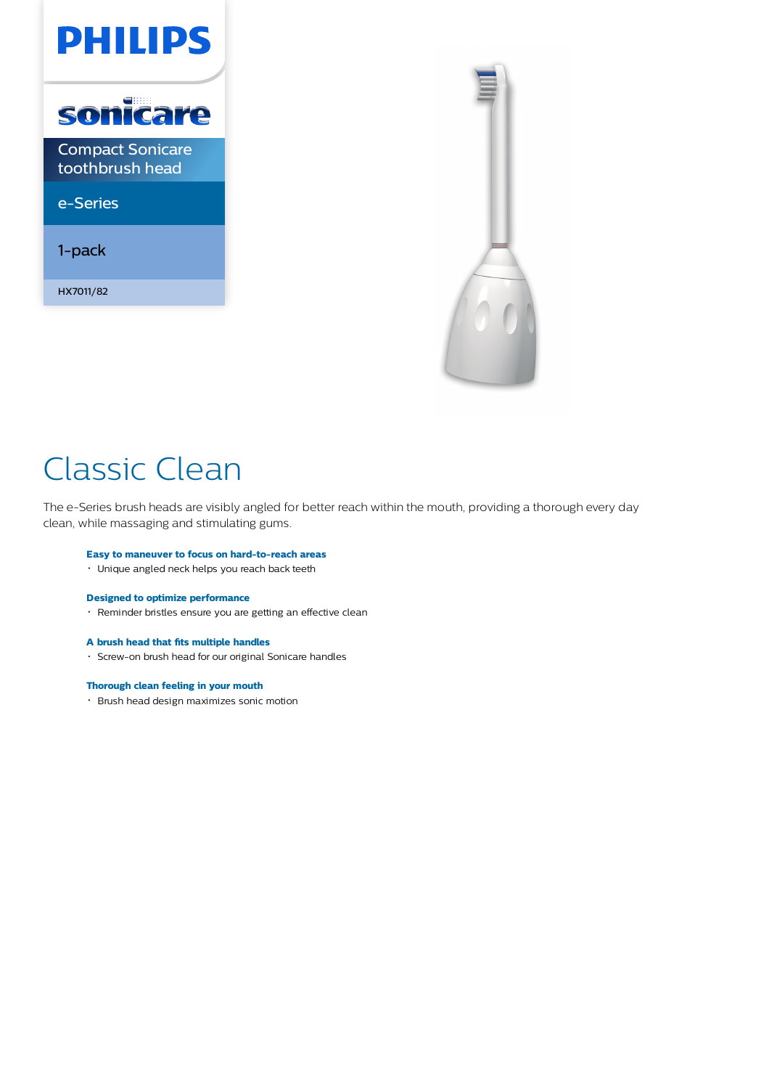



# Classic Clean

The e-Series brush heads are visibly angled for better reach within the mouth, providing a thorough every day clean, while massaging and stimulating gums.

#### **Easy to maneuver to focus on hard-to-reach areas**

Unique angled neck helps you reach back teeth

#### **Designed to optimize performance**

Reminder bristles ensure you are getting an effective clean

#### **A brush head that fits multiple handles**

Screw-on brush head for our original Sonicare handles

#### **Thorough clean feeling in your mouth**

Brush head design maximizes sonic motion